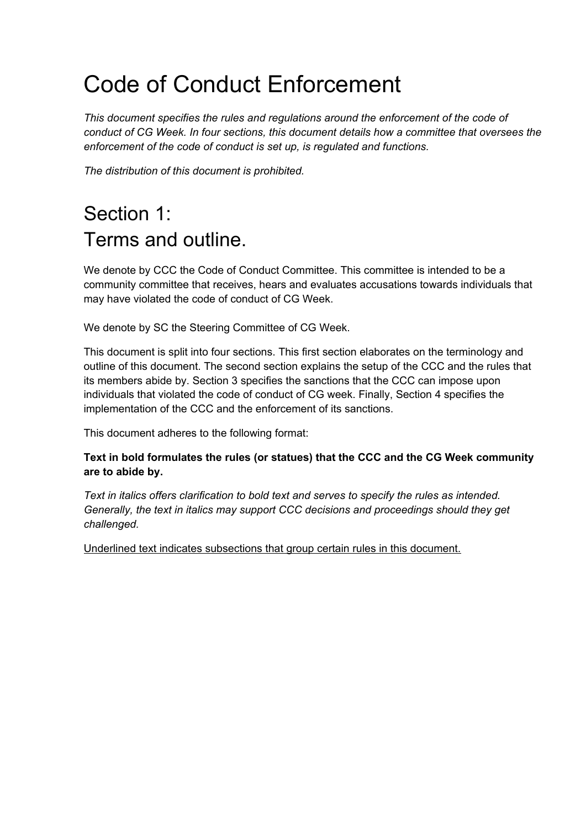# Code of Conduct Enforcement

*This document specifies the rules and regulations around the enforcement of the code of conduct of CG Week. In four sections, this document details how a committee that oversees the enforcement of the code of conduct is set up, is regulated and functions.*

*The distribution of this document is prohibited.*

## Section 1: Terms and outline.

We denote by CCC the Code of Conduct Committee. This committee is intended to be a community committee that receives, hears and evaluates accusations towards individuals that may have violated the code of conduct of CG Week.

We denote by SC the Steering Committee of CG Week.

This document is split into four sections. This first section elaborates on the terminology and outline of this document. The second section explains the setup of the CCC and the rules that its members abide by. Section 3 specifies the sanctions that the CCC can impose upon individuals that violated the code of conduct of CG week. Finally, Section 4 specifies the implementation of the CCC and the enforcement of its sanctions.

This document adheres to the following format:

**Text in bold formulates the rules (or statues) that the CCC and the CG Week community are to abide by.**

*Text in italics offers clarification to bold text and serves to specify the rules as intended. Generally, the text in italics may support CCC decisions and proceedings should they get challenged.*

Underlined text indicates subsections that group certain rules in this document.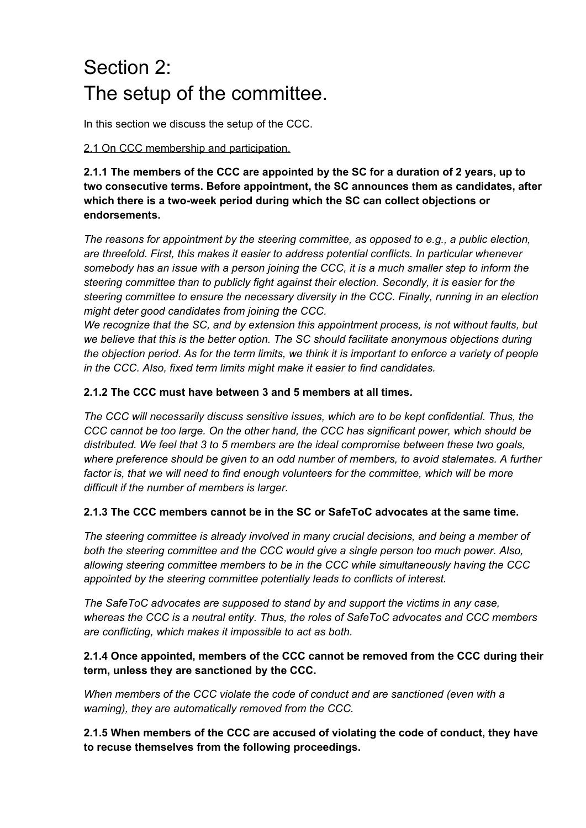## Section 2: The setup of the committee.

In this section we discuss the setup of the CCC.

### 2.1 On CCC membership and participation.

**2.1.1 The members of the CCC are appointed by the SC for a duration of 2 years, up to two consecutive terms. Before appointment, the SC announces them as candidates, after which there is a two-week period during which the SC can collect objections or endorsements.**

*The reasons for appointment by the steering committee, as opposed to e.g., a public election, are threefold. First, this makes it easier to address potential conflicts. In particular whenever somebody has an issue with a person joining the CCC, it is a much smaller step to inform the steering committee than to publicly fight against their election. Secondly, it is easier for the steering committee to ensure the necessary diversity in the CCC. Finally, running in an election might deter good candidates from joining the CCC.*

*We recognize that the SC, and by extension this appointment process, is not without faults, but we believe that this is the better option. The SC should facilitate anonymous objections during the objection period. As for the term limits, we think it is important to enforce a variety of people in the CCC. Also, fixed term limits might make it easier to find candidates.*

### **2.1.2 The CCC must have between 3 and 5 members at all times***.*

*The CCC will necessarily discuss sensitive issues, which are to be kept confidential. Thus, the CCC cannot be too large. On the other hand, the CCC has significant power, which should be distributed. We feel that 3 to 5 members are the ideal compromise between these two goals, where preference should be given to an odd number of members, to avoid stalemates. A further factor is, that we will need to find enough volunteers for the committee, which will be more difficult if the number of members is larger.*

### **2.1.3 The CCC members cannot be in the SC or SafeToC advocates at the same time.**

*The steering committee is already involved in many crucial decisions, and being a member of both the steering committee and the CCC would give a single person too much power. Also, allowing steering committee members to be in the CCC while simultaneously having the CCC appointed by the steering committee potentially leads to conflicts of interest.*

*The SafeToC advocates are supposed to stand by and support the victims in any case, whereas the CCC is a neutral entity. Thus, the roles of SafeToC advocates and CCC members are conflicting, which makes it impossible to act as both.*

### **2.1.4 Once appointed, members of the CCC cannot be removed from the CCC during their term, unless they are sanctioned by the CCC.**

*When members of the CCC violate the code of conduct and are sanctioned (even with a warning), they are automatically removed from the CCC.*

**2.1.5 When members of the CCC are accused of violating the code of conduct, they have to recuse themselves from the following proceedings.**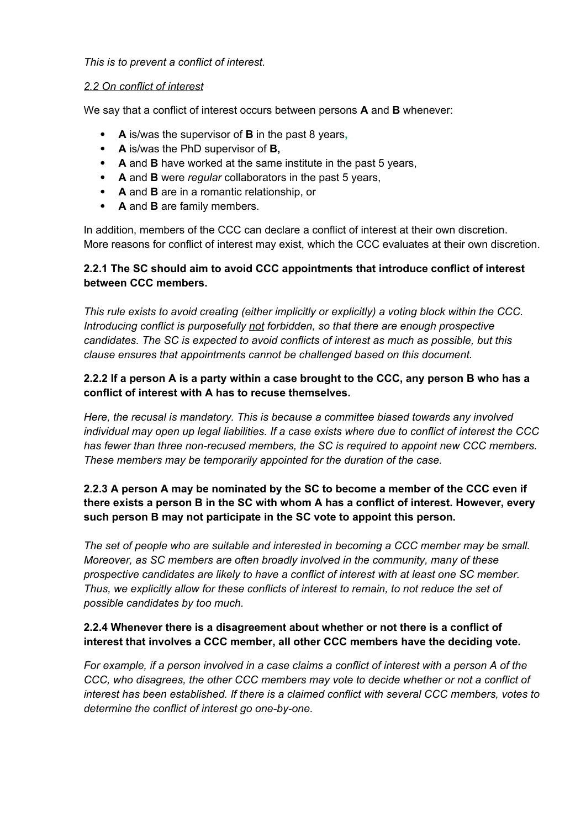### *This is to prevent a conflict of interest.*

### *2.2 On conflict of interest*

We say that a conflict of interest occurs between persons **A** and **B** whenever:

- **A** is/was the supervisor of **B** in the past 8 years**,**
- **A** is/was the PhD supervisor of **B,**
- **A** and **B** have worked at the same institute in the past 5 years,
- **A** and **B** were *regular* collaborators in the past 5 years,
- **A** and **B** are in a romantic relationship, or
- **A** and **B** are family members.

In addition, members of the CCC can declare a conflict of interest at their own discretion. More reasons for conflict of interest may exist, which the CCC evaluates at their own discretion.

### **2.2.1 The SC should aim to avoid CCC appointments that introduce conflict of interest between CCC members.**

*This rule exists to avoid creating (either implicitly or explicitly) a voting block within the CCC. Introducing conflict is purposefully not forbidden, so that there are enough prospective candidates. The SC is expected to avoid conflicts of interest as much as possible, but this clause ensures that appointments cannot be challenged based on this document.*

### **2.2.2 If a person A is a party within a case brought to the CCC, any person B who has a conflict of interest with A has to recuse themselves.**

*Here, the recusal is mandatory. This is because a committee biased towards any involved individual may open up legal liabilities. If a case exists where due to conflict of interest the CCC has fewer than three non-recused members, the SC is required to appoint new CCC members. These members may be temporarily appointed for the duration of the case.*

### **2.2.3 A person A may be nominated by the SC to become a member of the CCC even if there exists a person B in the SC with whom A has a conflict of interest. However, every such person B may not participate in the SC vote to appoint this person.**

*The set of people who are suitable and interested in becoming a CCC member may be small. Moreover, as SC members are often broadly involved in the community, many of these prospective candidates are likely to have a conflict of interest with at least one SC member. Thus, we explicitly allow for these conflicts of interest to remain, to not reduce the set of possible candidates by too much.*

### **2.2.4 Whenever there is a disagreement about whether or not there is a conflict of interest that involves a CCC member, all other CCC members have the deciding vote.**

*For example, if a person involved in a case claims a conflict of interest with a person A of the CCC, who disagrees, the other CCC members may vote to decide whether or not a conflict of interest has been established. If there is a claimed conflict with several CCC members, votes to determine the conflict of interest go one-by-one.*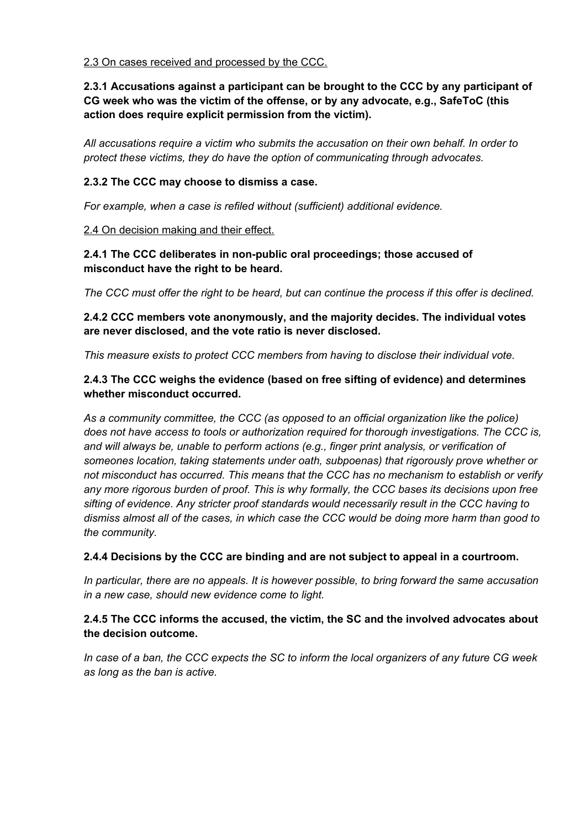### 2.3 On cases received and processed by the CCC.

### **2.3.1 Accusations against a participant can be brought to the CCC by any participant of CG week who was the victim of the offense, or by any advocate, e.g., SafeToC (this action does require explicit permission from the victim).**

*All accusations require a victim who submits the accusation on their own behalf. In order to protect these victims, they do have the option of communicating through advocates.*

### **2.3.2 The CCC may choose to dismiss a case.**

*For example, when a case is refiled without (sufficient) additional evidence.*

### 2.4 On decision making and their effect.

### **2.4.1 The CCC deliberates in non-public oral proceedings; those accused of misconduct have the right to be heard.**

*The CCC must offer the right to be heard, but can continue the process if this offer is declined.*

### **2.4.2 CCC members vote anonymously, and the majority decides. The individual votes are never disclosed, and the vote ratio is never disclosed.**

*This measure exists to protect CCC members from having to disclose their individual vote.*

### **2.4.3 The CCC weighs the evidence (based on free sifting of evidence) and determines whether misconduct occurred.**

*As a community committee, the CCC (as opposed to an official organization like the police) does not have access to tools or authorization required for thorough investigations. The CCC is, and will always be, unable to perform actions (e.g., finger print analysis, or verification of someones location, taking statements under oath, subpoenas) that rigorously prove whether or not misconduct has occurred. This means that the CCC has no mechanism to establish or verify any more rigorous burden of proof. This is why formally, the CCC bases its decisions upon free sifting of evidence. Any stricter proof standards would necessarily result in the CCC having to dismiss almost all of the cases, in which case the CCC would be doing more harm than good to the community.*

### **2.4.4 Decisions by the CCC are binding and are not subject to appeal in a courtroom.**

*In particular, there are no appeals. It is however possible, to bring forward the same accusation in a new case, should new evidence come to light.*

### **2.4.5 The CCC informs the accused, the victim, the SC and the involved advocates about the decision outcome.**

*In case of a ban, the CCC expects the SC to inform the local organizers of any future CG week as long as the ban is active.*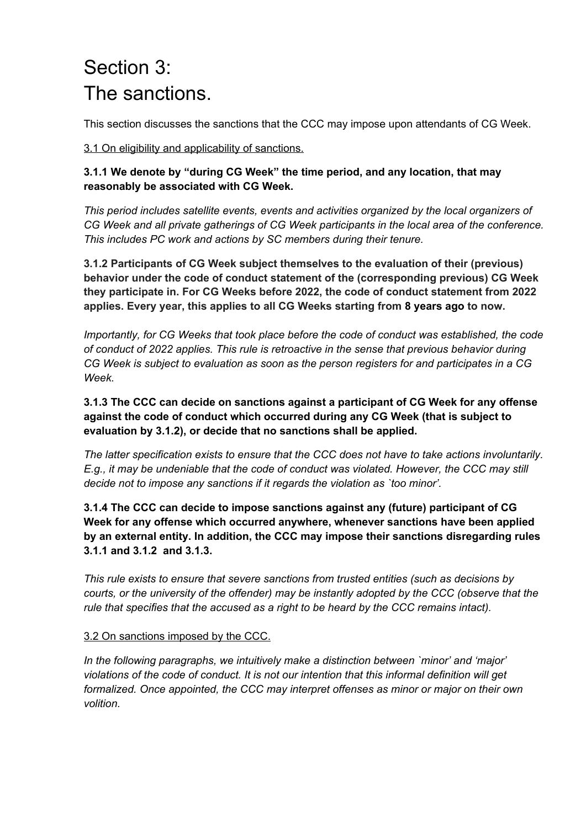### Section 3: The sanctions.

This section discusses the sanctions that the CCC may impose upon attendants of CG Week.

3.1 On eligibility and applicability of sanctions.

### **3.1.1 We denote by "during CG Week" the time period, and any location, that may reasonably be associated with CG Week.**

*This period includes satellite events, events and activities organized by the local organizers of CG Week and all private gatherings of CG Week participants in the local area of the conference. This includes PC work and actions by SC members during their tenure.*

**3.1.2 Participants of CG Week subject themselves to the evaluation of their (previous) behavior under the code of conduct statement of the (corresponding previous) CG Week they participate in. For CG Weeks before 2022, the code of conduct statement from 2022 applies. Every year, this applies to all CG Weeks starting from 8 years ago to now.**

*Importantly, for CG Weeks that took place before the code of conduct was established, the code of conduct of 2022 applies. This rule is retroactive in the sense that previous behavior during CG Week is subject to evaluation as soon as the person registers for and participates in a CG Week.*

**3.1.3 The CCC can decide on sanctions against a participant of CG Week for any offense against the code of conduct which occurred during any CG Week (that is subject to evaluation by 3.1.2), or decide that no sanctions shall be applied.**

*The latter specification exists to ensure that the CCC does not have to take actions involuntarily. E.g., it may be undeniable that the code of conduct was violated. However, the CCC may still decide not to impose any sanctions if it regards the violation as `too minor'.*

**3.1.4 The CCC can decide to impose sanctions against any (future) participant of CG Week for any offense which occurred anywhere, whenever sanctions have been applied by an external entity. In addition, the CCC may impose their sanctions disregarding rules 3.1.1 and 3.1.2 and 3.1.3.**

*This rule exists to ensure that severe sanctions from trusted entities (such as decisions by courts, or the university of the offender) may be instantly adopted by the CCC (observe that the rule that specifies that the accused as a right to be heard by the CCC remains intact).*

### 3.2 On sanctions imposed by the CCC.

*In the following paragraphs, we intuitively make a distinction between `minor' and 'major' violations of the code of conduct. It is not our intention that this informal definition will get formalized. Once appointed, the CCC may interpret offenses as minor or major on their own volition.*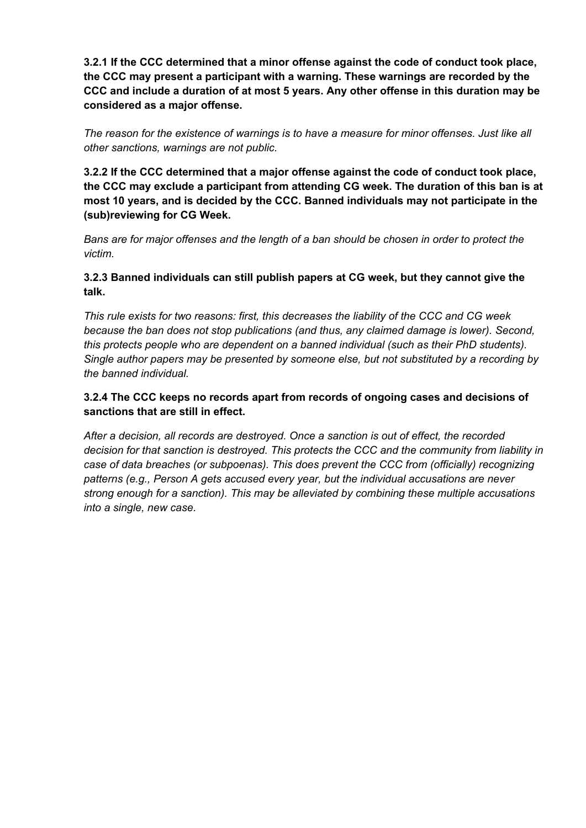**3.2.1 If the CCC determined that a minor offense against the code of conduct took place, the CCC may present a participant with a warning. These warnings are recorded by the CCC and include a duration of at most 5 years. Any other offense in this duration may be considered as a major offense.**

*The reason for the existence of warnings is to have a measure for minor offenses. Just like all other sanctions, warnings are not public.*

**3.2.2 If the CCC determined that a major offense against the code of conduct took place, the CCC may exclude a participant from attending CG week. The duration of this ban is at most 10 years, and is decided by the CCC. Banned individuals may not participate in the (sub)reviewing for CG Week.**

*Bans are for major offenses and the length of a ban should be chosen in order to protect the victim.*

### **3.2.3 Banned individuals can still publish papers at CG week, but they cannot give the talk.**

*This rule exists for two reasons: first, this decreases the liability of the CCC and CG week because the ban does not stop publications (and thus, any claimed damage is lower). Second, this protects people who are dependent on a banned individual (such as their PhD students). Single author papers may be presented by someone else, but not substituted by a recording by the banned individual.*

### **3.2.4 The CCC keeps no records apart from records of ongoing cases and decisions of sanctions that are still in effect.**

*After a decision, all records are destroyed. Once a sanction is out of effect, the recorded decision for that sanction is destroyed. This protects the CCC and the community from liability in case of data breaches (or subpoenas). This does prevent the CCC from (officially) recognizing patterns (e.g., Person A gets accused every year, but the individual accusations are never strong enough for a sanction). This may be alleviated by combining these multiple accusations into a single, new case.*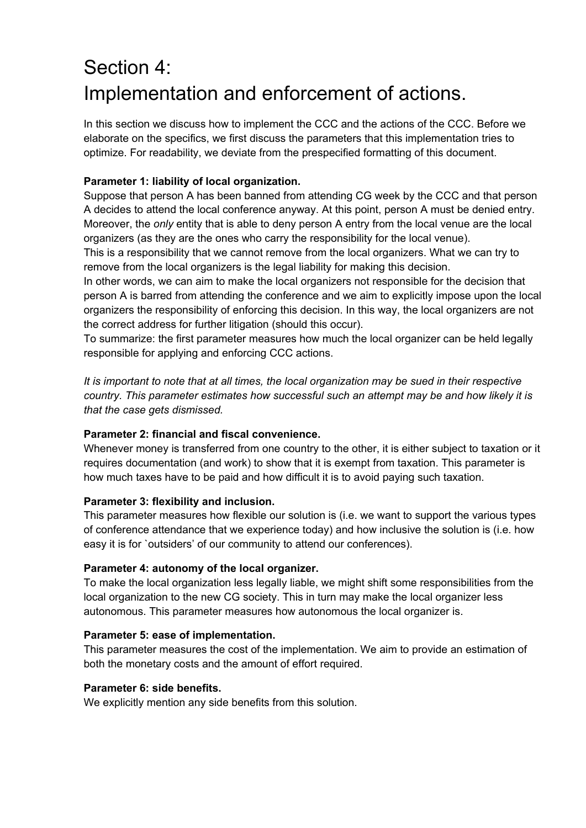### Section 4: Implementation and enforcement of actions.

In this section we discuss how to implement the CCC and the actions of the CCC. Before we elaborate on the specifics, we first discuss the parameters that this implementation tries to optimize. For readability, we deviate from the prespecified formatting of this document.

### **Parameter 1: liability of local organization.**

Suppose that person A has been banned from attending CG week by the CCC and that person A decides to attend the local conference anyway. At this point, person A must be denied entry. Moreover, the *only* entity that is able to deny person A entry from the local venue are the local organizers (as they are the ones who carry the responsibility for the local venue).

This is a responsibility that we cannot remove from the local organizers. What we can try to remove from the local organizers is the legal liability for making this decision.

In other words, we can aim to make the local organizers not responsible for the decision that person A is barred from attending the conference and we aim to explicitly impose upon the local organizers the responsibility of enforcing this decision. In this way, the local organizers are not the correct address for further litigation (should this occur).

To summarize: the first parameter measures how much the local organizer can be held legally responsible for applying and enforcing CCC actions.

*It is important to note that at all times, the local organization may be sued in their respective country. This parameter estimates how successful such an attempt may be and how likely it is that the case gets dismissed.*

### **Parameter 2: financial and fiscal convenience.**

Whenever money is transferred from one country to the other, it is either subject to taxation or it requires documentation (and work) to show that it is exempt from taxation. This parameter is how much taxes have to be paid and how difficult it is to avoid paying such taxation.

### **Parameter 3: flexibility and inclusion.**

This parameter measures how flexible our solution is (i.e. we want to support the various types of conference attendance that we experience today) and how inclusive the solution is (i.e. how easy it is for `outsiders' of our community to attend our conferences).

### **Parameter 4: autonomy of the local organizer.**

To make the local organization less legally liable, we might shift some responsibilities from the local organization to the new CG society. This in turn may make the local organizer less autonomous. This parameter measures how autonomous the local organizer is.

#### **Parameter 5: ease of implementation.**

This parameter measures the cost of the implementation. We aim to provide an estimation of both the monetary costs and the amount of effort required.

#### **Parameter 6: side benefits.**

We explicitly mention any side benefits from this solution.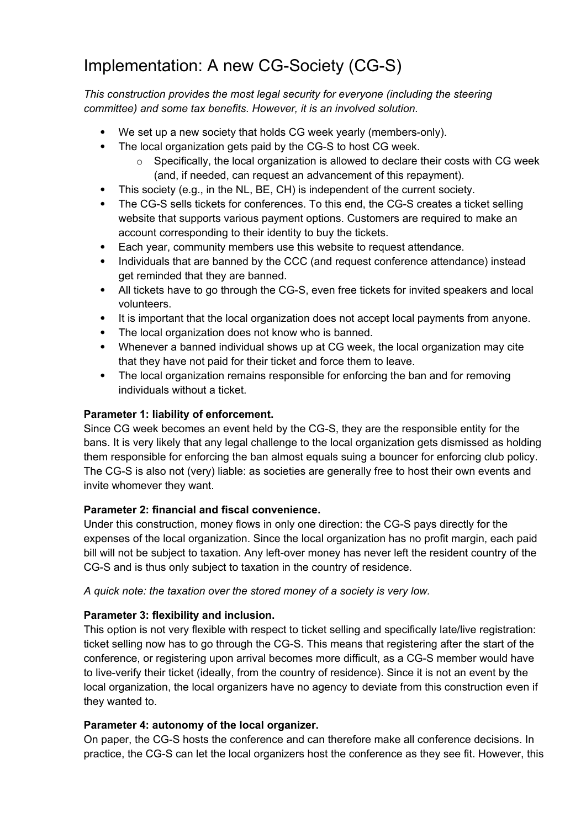### Implementation: A new CG-Society (CG-S)

*This construction provides the most legal security for everyone (including the steering committee) and some tax benefits. However, it is an involved solution.*

- We set up a new society that holds CG week yearly (members-only).
- The local organization gets paid by the CG-S to host CG week.
	- $\circ$  Specifically, the local organization is allowed to declare their costs with CG week (and, if needed, can request an advancement of this repayment).
- This society (e.g., in the NL, BE, CH) is independent of the current society.
- The CG-S sells tickets for conferences. To this end, the CG-S creates a ticket selling website that supports various payment options. Customers are required to make an account corresponding to their identity to buy the tickets.
- Each year, community members use this website to request attendance.
- Individuals that are banned by the CCC (and request conference attendance) instead get reminded that they are banned.
- All tickets have to go through the CG-S, even free tickets for invited speakers and local volunteers.
- It is important that the local organization does not accept local payments from anyone.
- The local organization does not know who is banned.
- Whenever a banned individual shows up at CG week, the local organization may cite that they have not paid for their ticket and force them to leave.
- The local organization remains responsible for enforcing the ban and for removing individuals without a ticket.

### **Parameter 1: liability of enforcement.**

Since CG week becomes an event held by the CG-S, they are the responsible entity for the bans. It is very likely that any legal challenge to the local organization gets dismissed as holding them responsible for enforcing the ban almost equals suing a bouncer for enforcing club policy. The CG-S is also not (very) liable: as societies are generally free to host their own events and invite whomever they want.

### **Parameter 2: financial and fiscal convenience.**

Under this construction, money flows in only one direction: the CG-S pays directly for the expenses of the local organization. Since the local organization has no profit margin, each paid bill will not be subject to taxation. Any left-over money has never left the resident country of the CG-S and is thus only subject to taxation in the country of residence.

*A quick note: the taxation over the stored money of a society is very low.*

### **Parameter 3: flexibility and inclusion.**

This option is not very flexible with respect to ticket selling and specifically late/live registration: ticket selling now has to go through the CG-S. This means that registering after the start of the conference, or registering upon arrival becomes more difficult, as a CG-S member would have to live-verify their ticket (ideally, from the country of residence). Since it is not an event by the local organization, the local organizers have no agency to deviate from this construction even if they wanted to.

#### **Parameter 4: autonomy of the local organizer.**

On paper, the CG-S hosts the conference and can therefore make all conference decisions. In practice, the CG-S can let the local organizers host the conference as they see fit. However, this